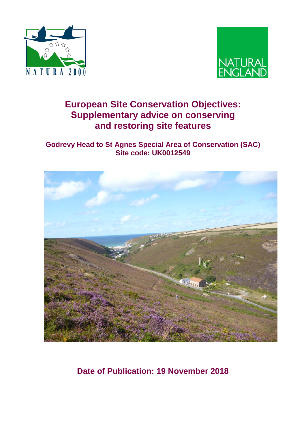



# **European Site Conservation Objectives: Supplementary advice on conserving and restoring site features**

**Godrevy Head to St Agnes Special Area of Conservation (SAC) Site code: UK0012549**



**Date of Publication: 19 November 2018**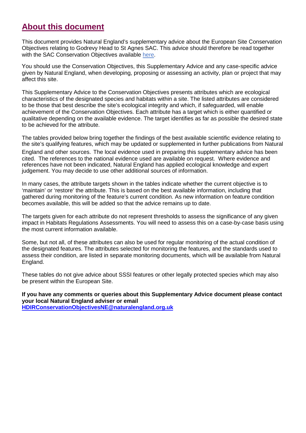# **About this document**

This document provides Natural England's supplementary advice about the European Site Conservation Objectives relating to Godrevy Head to St Agnes SAC. This advice should therefore be read together with the SAC Conservation Objectives available [here.](http://publications.naturalengland.org.uk/publication/6489762512764928)

You should use the Conservation Objectives, this Supplementary Advice and any case-specific advice given by Natural England, when developing, proposing or assessing an activity, plan or project that may affect this site.

This Supplementary Advice to the Conservation Objectives presents attributes which are ecological characteristics of the designated species and habitats within a site. The listed attributes are considered to be those that best describe the site's ecological integrity and which, if safeguarded, will enable achievement of the Conservation Objectives. Each attribute has a target which is either quantified or qualitative depending on the available evidence. The target identifies as far as possible the desired state to be achieved for the attribute.

The tables provided below bring together the findings of the best available scientific evidence relating to the site's qualifying features, which may be updated or supplemented in further publications from Natural England and other sources. The local evidence used in preparing this supplementary advice has been cited. The references to the national evidence used are available on request. Where evidence and references have not been indicated, Natural England has applied ecological knowledge and expert judgement. You may decide to use other additional sources of information.

In many cases, the attribute targets shown in the tables indicate whether the current objective is to 'maintain' or 'restore' the attribute. This is based on the best available information, including that gathered during monitoring of the feature's current condition. As new information on feature condition becomes available, this will be added so that the advice remains up to date.

The targets given for each attribute do not represent thresholds to assess the significance of any given impact in Habitats Regulations Assessments. You will need to assess this on a case-by-case basis using the most current information available.

Some, but not all, of these attributes can also be used for regular monitoring of the actual condition of the designated features. The attributes selected for monitoring the features, and the standards used to assess their condition, are listed in separate monitoring documents, which will be available from Natural England.

These tables do not give advice about SSSI features or other legally protected species which may also be present within the European Site.

**If you have any comments or queries about this Supplementary Advice document please contact your local Natural England adviser or email [HDIRConservationObjectivesNE@naturalengland.org.uk](mailto:HDIRConservationObjectivesNE@naturalengland.org.uk)**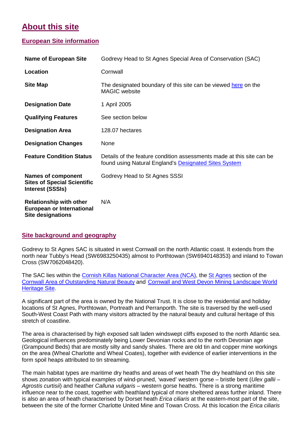# **About this site**

## **European Site information**

| <b>Name of European Site</b>                                                                   | Godrevy Head to St Agnes Special Area of Conservation (SAC)                                                                           |
|------------------------------------------------------------------------------------------------|---------------------------------------------------------------------------------------------------------------------------------------|
| Location                                                                                       | Cornwall                                                                                                                              |
| <b>Site Map</b>                                                                                | The designated boundary of this site can be viewed here on the<br><b>MAGIC</b> website                                                |
| <b>Designation Date</b>                                                                        | 1 April 2005                                                                                                                          |
| <b>Qualifying Features</b>                                                                     | See section below                                                                                                                     |
| <b>Designation Area</b>                                                                        | 128.07 hectares                                                                                                                       |
| <b>Designation Changes</b>                                                                     | None                                                                                                                                  |
| <b>Feature Condition Status</b>                                                                | Details of the feature condition assessments made at this site can be<br>found using Natural England's <b>Designated Sites System</b> |
| <b>Names of component</b><br><b>Sites of Special Scientific</b><br><b>Interest (SSSIs)</b>     | Godrevy Head to St Agnes SSSI                                                                                                         |
| <b>Relationship with other</b><br><b>European or International</b><br><b>Site designations</b> | N/A                                                                                                                                   |

### **Site background and geography**

Godrevy to St Agnes SAC is situated in west Cornwall on the north Atlantic coast. It extends from the north near Tubby's Head (SW6983250435) almost to Porthtowan (SW6940148353) and inland to Towan Cross (SW7062048420).

The SAC lies within the [Cornish Killas National Character Area \(NCA\),](http://publications.naturalengland.org.uk/publication/6654414139949056) the [St Agnes](http://www.cornwall-aonb.gov.uk/cornwall-map/) section of the [Cornwall Area of Outstanding Natural Beauty](http://www.cornwall-aonb.gov.uk/) and [Cornwall and West Devon Mining Landscape World](https://whc.unesco.org/en/list/1215)  [Heritage Site.](https://whc.unesco.org/en/list/1215)

A significant part of the area is owned by the National Trust. It is close to the residential and holiday locations of St Agnes, Porthtowan, Portreath and Perranporth. The site is traversed by the well-used South-West Coast Path with many visitors attracted by the natural beauty and cultural heritage of this stretch of coastline.

The area is characterised by high exposed salt laden windswept cliffs exposed to the north Atlantic sea. Geological influences predominately being Lower Devonian rocks and to the north Devonian age (Grampound Beds) that are mostly silty and sandy shales. There are old tin and copper mine workings on the area (Wheal Charlotte and Wheal Coates), together with evidence of earlier interventions in the form spoil heaps attributed to tin streaming.

The main habitat types are maritime dry heaths and areas of wet heath The dry heathland on this site shows zonation with typical examples of wind-pruned, 'waved' western gorse – bristle bent (*Ulex gallii – Agrostis curtisii*) and heather *Calluna vulgaris* – western gorse heaths. There is a strong maritime influence near to the coast, together with heathland typical of more sheltered areas further inland. There is also an area of heath characterised by Dorset heath *Erica ciliaris* at the eastern-most part of the site, between the site of the former Charlotte United Mine and Towan Cross. At this location the *Erica ciliaris*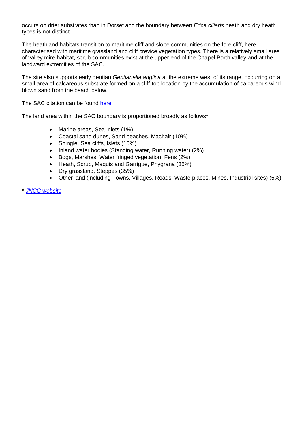occurs on drier substrates than in Dorset and the boundary between *Erica ciliaris* heath and dry heath types is not distinct.

The heathland habitats transition to maritime cliff and slope communities on the fore cliff, here characterised with maritime grassland and cliff crevice vegetation types. There is a relatively small area of valley mire habitat, scrub communities exist at the upper end of the Chapel Porth valley and at the landward extremities of the SAC.

The site also supports early gentian *Gentianella anglica* at the extreme west of its range, occurring on a small area of calcareous substrate formed on a cliff-top location by the accumulation of calcareous windblown sand from the beach below.

The SAC citation can be found [here.](http://publications.naturalengland.org.uk/publication/6489762512764928?category=5374002071601152)

The land area within the SAC boundary is proportioned broadly as follows\*

- Marine areas, Sea inlets (1%)
- Coastal sand dunes, Sand beaches, Machair (10%)
- Shingle, Sea cliffs, Islets (10%)
- Inland water bodies (Standing water, Running water) (2%)
- Bogs, Marshes, Water fringed vegetation, Fens (2%)
- Heath, Scrub, Maquis and Garrigue, Phygrana (35%)
- Dry grassland, Steppes (35%)
- Other land (including Towns, Villages, Roads, Waste places, Mines, Industrial sites) (5%)

*\* [JNCC website](http://jncc.defra.gov.uk/protectedsites/sacselection/sac.asp?EUCode=UK0012549)*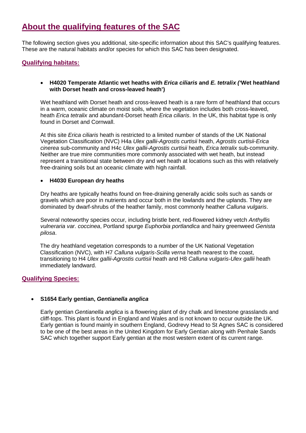# **About the qualifying features of the SAC**

The following section gives you additional, site-specific information about this SAC's qualifying features. These are the natural habitats and/or species for which this SAC has been designated.

### **Qualifying habitats:**

#### • **H4020 Temperate Atlantic wet heaths with** *Erica ciliaris* **and** *E. tetralix ('***Wet heathland with Dorset heath and cross-leaved heath')**

Wet heathland with Dorset heath and cross-leaved heath is a rare form of heathland that occurs in a warm, oceanic climate on moist soils, where the vegetation includes both cross-leaved, heath *Erica tetralix* and abundant-Dorset heath *Erica ciliaris*. In the UK, this habitat type is only found in Dorset and Cornwall.

At this site *Erica ciliaris* heath is restricted to a limited number of stands of the UK National Vegetation Classification (NVC) H4a *Ulex gallii-Agrostis curtisii* heath, *Agrostis curtisii*-*Erica cinerea* sub-community and H4c *Ulex gallii-Agrostis curtisii* heath, *Erica tetralix* sub-community. Neither are true mire communities more commonly associated with wet heath, but instead represent a transitional state between dry and wet heath at locations such as this with relatively free-draining soils but an oceanic climate with high rainfall.

#### • **H4030 European dry heaths**

Dry heaths are typically heaths found on free-draining generally acidic soils such as sands or gravels which are poor in nutrients and occur both in the lowlands and the uplands. They are dominated by dwarf-shrubs of the heather family, most commonly heather *Calluna vulgaris*.

Several noteworthy species occur, including bristle bent, red-flowered kidney vetch *Anthyllis vulneraria var. coccinea*, Portland spurge *Euphorbia portlandica* and hairy greenweed *Genista pilosa*.

The dry heathland vegetation corresponds to a number of the UK National Vegetation Classification (NVC), with H7 *Calluna vulgaris-Scilla verna* heath nearest to the coast, transitioning to H4 *Ulex gallii-Agrostis curtisii* heath and H8 *Calluna vulgaris-Ulex gallii* heath immediately landward.

### **Qualifying Species:**

### • **S1654 Early gentian,** *Gentianella anglica*

Early gentian *Gentianella anglica* is a flowering plant of dry chalk and limestone grasslands and cliff-tops. This plant is found in England and Wales and is not known to occur outside the UK. Early gentian is found mainly in southern England, Godrevy Head to St Agnes SAC is considered to be one of the best areas in the United Kingdom for Early Gentian along with Penhale Sands SAC which together support Early gentian at the most western extent of its current range.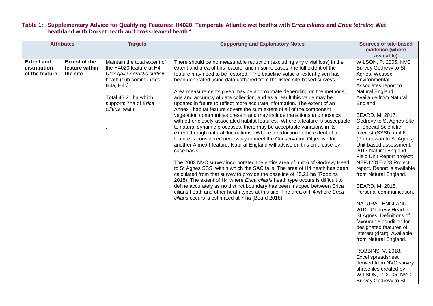#### **Table 1: Supplementary Advice for Qualifying Features: H4020. Temperate Atlantic wet heaths with** *Erica ciliaris* **and** *Erica tetralix***; Wet heathland with Dorset heath and cross-leaved heath \***

| <b>Attributes</b><br><b>Targets</b><br><b>Supporting and Explanatory Notes</b>                                                                                                                                                                                                                                                                                                                                                                                                                                                                                                                                                                                                                                                                                                                                                                                                                                                                                                                                                                                                                                                                                                                                                                                                                                                                                                                                                                                                                                                                                                                                                                                                                                                                                                                                                                                                                                                                                                                      | <b>Sources of site-based</b>                                                                                                                                                                                                                                                                                                                                                                                                                                                                                                                                                                                                                                                                                                                                                                                                                         |
|-----------------------------------------------------------------------------------------------------------------------------------------------------------------------------------------------------------------------------------------------------------------------------------------------------------------------------------------------------------------------------------------------------------------------------------------------------------------------------------------------------------------------------------------------------------------------------------------------------------------------------------------------------------------------------------------------------------------------------------------------------------------------------------------------------------------------------------------------------------------------------------------------------------------------------------------------------------------------------------------------------------------------------------------------------------------------------------------------------------------------------------------------------------------------------------------------------------------------------------------------------------------------------------------------------------------------------------------------------------------------------------------------------------------------------------------------------------------------------------------------------------------------------------------------------------------------------------------------------------------------------------------------------------------------------------------------------------------------------------------------------------------------------------------------------------------------------------------------------------------------------------------------------------------------------------------------------------------------------------------------------|------------------------------------------------------------------------------------------------------------------------------------------------------------------------------------------------------------------------------------------------------------------------------------------------------------------------------------------------------------------------------------------------------------------------------------------------------------------------------------------------------------------------------------------------------------------------------------------------------------------------------------------------------------------------------------------------------------------------------------------------------------------------------------------------------------------------------------------------------|
|                                                                                                                                                                                                                                                                                                                                                                                                                                                                                                                                                                                                                                                                                                                                                                                                                                                                                                                                                                                                                                                                                                                                                                                                                                                                                                                                                                                                                                                                                                                                                                                                                                                                                                                                                                                                                                                                                                                                                                                                     | evidence (where                                                                                                                                                                                                                                                                                                                                                                                                                                                                                                                                                                                                                                                                                                                                                                                                                                      |
|                                                                                                                                                                                                                                                                                                                                                                                                                                                                                                                                                                                                                                                                                                                                                                                                                                                                                                                                                                                                                                                                                                                                                                                                                                                                                                                                                                                                                                                                                                                                                                                                                                                                                                                                                                                                                                                                                                                                                                                                     | available)                                                                                                                                                                                                                                                                                                                                                                                                                                                                                                                                                                                                                                                                                                                                                                                                                                           |
| <b>Extent of the</b><br>Maintain the total extent of<br>There should be no measurable reduction (excluding any trivial loss) in the<br><b>Extent and</b><br>distribution<br>feature within<br>extent and area of this feature, and in some cases, the full extent of the<br>the H4020 feature at H4<br>of the feature<br>the site<br>Ulex gallii-Agrostis curtisii<br>feature may need to be restored. The baseline-value of extent given has<br>heath (sub communities<br>been generated using data gathered from the listed site-based surveys.<br>H4a, H4c).<br>Area measurements given may be approximate depending on the methods,<br>Total 45.21 ha which<br>age and accuracy of data collection, and as a result this value may be<br>supports 7ha of Erica<br>updated in future to reflect more accurate information. The extent of an<br>England.<br>ciliaris heath<br>Annex I habitat feature covers the sum extent of all of the component<br>vegetation communities present and may include transitions and mosaics<br>with other closely-associated habitat features. Where a feature is susceptible<br>to natural dynamic processes, there may be acceptable variations in its<br>extent through natural fluctuations. Where a reduction in the extent of a<br>feature is considered necessary to meet the Conservation Objective for<br>another Annex I feature, Natural England will advise on this on a case-by-<br>case basis.<br>The 2003 NVC survey incorporated the entire area of unit 6 of Godrevy Head<br>to St Agnes SSSI within which the SAC falls. The area of H4 heath has been<br>calculated from that survey to provide the baseline of 45.21 ha (Robbins<br>2018). The extent of H4 where <i>Erica ciliaris</i> heath type occurs is difficult to<br>define accurately as no distinct boundary has been mapped between Erica<br>ciliaris heath and other heath types at this site. The area of H4 where Erica<br>ciliaris occurs is estimated at 7 ha (Beard 2018). | <b>WILSON, P. 2005. NVC</b><br>Survey Godrevy to St<br>Agnes. Wessex<br>Environmental<br>Associates report to<br>Natural England.<br>Available from Natural<br>BEARD, M. 2017.<br>Godrevy to St Agnes Site<br>of Special Scientific<br>Interest (SSSI): unit 6<br>(Porthtowan to St Agnes)<br>Unit-based assessment,<br>2017 Natural England<br>Field Unit Report project:<br>NEFU2017-223 Project<br>report. Report is available<br>from Natural England.<br>BEARD, M. 2018.<br>Personal communication.<br>NATURAL ENGLAND.<br>2010. Godrevy Head to<br>St Agnes: Definitions of<br>favourable condition for<br>designated features of<br>interest (draft). Available<br>from Natural England.<br>ROBBINS, V. 2018.<br>Excel spreadsheet<br>derived from NVC survey<br>shapefiles created by<br><b>WILSON, P. 2005. NVC</b><br>Survey Godrevy to St |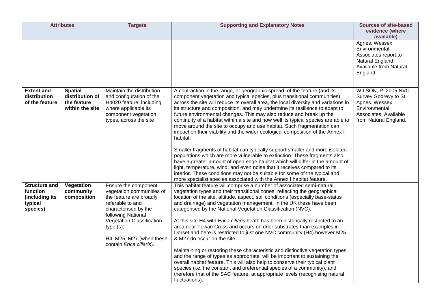| <b>Attributes</b>                                                         |                                                                     | <b>Targets</b>                                                                                                                                                                                                                                  | <b>Supporting and Explanatory Notes</b>                                                                                                                                                                                                                                                                                                                                                                                                                                                                                                                                                                                                                                                                                                                                                                                                                                                                                                                                                                                                                                                                                                          | <b>Sources of site-based</b><br>evidence (where<br>available)                                                                          |
|---------------------------------------------------------------------------|---------------------------------------------------------------------|-------------------------------------------------------------------------------------------------------------------------------------------------------------------------------------------------------------------------------------------------|--------------------------------------------------------------------------------------------------------------------------------------------------------------------------------------------------------------------------------------------------------------------------------------------------------------------------------------------------------------------------------------------------------------------------------------------------------------------------------------------------------------------------------------------------------------------------------------------------------------------------------------------------------------------------------------------------------------------------------------------------------------------------------------------------------------------------------------------------------------------------------------------------------------------------------------------------------------------------------------------------------------------------------------------------------------------------------------------------------------------------------------------------|----------------------------------------------------------------------------------------------------------------------------------------|
|                                                                           |                                                                     |                                                                                                                                                                                                                                                 |                                                                                                                                                                                                                                                                                                                                                                                                                                                                                                                                                                                                                                                                                                                                                                                                                                                                                                                                                                                                                                                                                                                                                  | Agnes. Wessex<br>Environmental<br>Associates report to<br>Natural England.<br>Available from Natural<br>England.                       |
| <b>Extent and</b><br>distribution<br>of the feature                       | <b>Spatial</b><br>distribution of<br>the feature<br>within the site | Maintain the distribution<br>and configuration of the<br>H4020 feature, including<br>where applicable its<br>component vegetation<br>types, across the site                                                                                     | A contraction in the range, or geographic spread, of the feature (and its<br>component vegetation and typical species, plus transitional communities)<br>across the site will reduce its overall area, the local diversity and variations in<br>its structure and composition, and may undermine its resilience to adapt to<br>future environmental changes. This may also reduce and break up the<br>continuity of a habitat within a site and how well its typical species are able to<br>move around the site to occupy and use habitat. Such fragmentation can<br>impact on their viability and the wider ecological composition of the Annex I<br>habitat.<br>Smaller fragments of habitat can typically support smaller and more isolated<br>populations which are more vulnerable to extinction. These fragments also<br>have a greater amount of open edge habitat which will differ in the amount of<br>light, temperature, wind, and even noise that it receives compared to its<br>interior. These conditions may not be suitable for some of the typical and<br>more specialist species associated with the Annex I habitat feature. | <b>WILSON, P. 2005 NVC</b><br>Survey Godrevy to St<br>Agnes. Wessex<br>Environmental<br>Associates. Available<br>from Natural England. |
| <b>Structure and</b><br>function<br>(including its<br>typical<br>species) | Vegetation<br>community<br>composition                              | Ensure the component<br>vegetation communities of<br>the feature are broadly<br>referable to and<br>characterised by the<br>following National<br>Vegetation Classification<br>type(s);<br>H4, M25, M27 (when these<br>contain Erica ciliaris). | This habitat feature will comprise a number of associated semi-natural<br>vegetation types and their transitional zones, reflecting the geographical<br>location of the site, altitude, aspect, soil conditions (especially base-status<br>and drainage) and vegetation management. In the UK these have been<br>categorised by the National Vegetation Classification (NVC).<br>At this site H4 with Erica ciliaris heath has been historically restricted to an<br>area near Towan Cross and occurs on drier substrates than examples in<br>Dorset and here is restricted to just one NVC community (H4) however M25<br>& M27 do occur on the site.<br>Maintaining or restoring these characteristic and distinctive vegetation types,<br>and the range of types as appropriate, will be important to sustaining the<br>overall habitat feature. This will also help to conserve their typical plant<br>species (i.e. the constant and preferential species of a community), and<br>therefore that of the SAC feature, at appropriate levels (recognising natural<br>fluctuations).                                                            |                                                                                                                                        |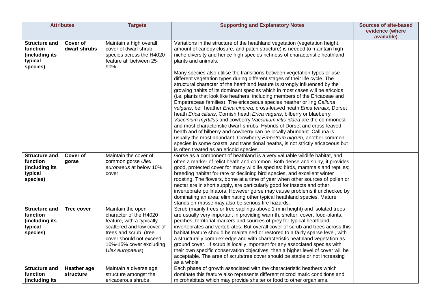| <b>Attributes</b>                                                                |                                 | <b>Targets</b>                                                                                                                                                                                           | <b>Supporting and Explanatory Notes</b>                                                                                                                                                                                                                                                                                                                                                                                                                                                                                                                                                                                                                                                                                                                                                                                                                                                                                                                                                                                                                                                                                                                                                                                                                                                                                                                 | <b>Sources of site-based</b> |
|----------------------------------------------------------------------------------|---------------------------------|----------------------------------------------------------------------------------------------------------------------------------------------------------------------------------------------------------|---------------------------------------------------------------------------------------------------------------------------------------------------------------------------------------------------------------------------------------------------------------------------------------------------------------------------------------------------------------------------------------------------------------------------------------------------------------------------------------------------------------------------------------------------------------------------------------------------------------------------------------------------------------------------------------------------------------------------------------------------------------------------------------------------------------------------------------------------------------------------------------------------------------------------------------------------------------------------------------------------------------------------------------------------------------------------------------------------------------------------------------------------------------------------------------------------------------------------------------------------------------------------------------------------------------------------------------------------------|------------------------------|
|                                                                                  |                                 |                                                                                                                                                                                                          |                                                                                                                                                                                                                                                                                                                                                                                                                                                                                                                                                                                                                                                                                                                                                                                                                                                                                                                                                                                                                                                                                                                                                                                                                                                                                                                                                         | evidence (where              |
|                                                                                  |                                 |                                                                                                                                                                                                          |                                                                                                                                                                                                                                                                                                                                                                                                                                                                                                                                                                                                                                                                                                                                                                                                                                                                                                                                                                                                                                                                                                                                                                                                                                                                                                                                                         | available)                   |
| <b>Structure and</b><br><b>function</b><br>(including its<br>typical<br>species) | Cover of<br>dwarf shrubs        | Maintain a high overall<br>cover of dwarf shrub<br>species across the H4020<br>feature at between 25-<br>90%                                                                                             | Variations in the structure of the heathland vegetation (vegetation height,<br>amount of canopy closure, and patch structure) is needed to maintain high<br>niche diversity and hence high species richness of characteristic heathland<br>plants and animals.<br>Many species also utilise the transitions between vegetation types or use<br>different vegetation types during different stages of their life cycle. The<br>structural character of the heathland feature is strongly influenced by the<br>growing habits of its dominant species which in most cases will be ericoids<br>(i.e. plants that look like heathers, including members of the Ericaceae and<br>Empetraceae families). The ericaceous species heather or ling Calluna<br>vulgaris, bell heather Erica cinerea, cross-leaved heath Erica tetralix, Dorset<br>heath Erica ciliaris, Cornish heath Erica vagans, bilberry or blaeberry<br>Vaccinium myrtillus and cowberry Vaccinium vitis-idaea are the commonest<br>and most characteristic dwarf-shrubs. Hybrids of Dorset and cross-leaved<br>heath and of bilberry and cowberry can be locally abundant. Calluna is<br>usually the most abundant. Crowberry Empetrum nigrum, another common<br>species in some coastal and transitional heaths, is not strictly ericaceous but<br>is often treated as an ericoid species. |                              |
| <b>Structure and</b><br>function<br>(including its<br>typical<br>species)        | Cover of<br>gorse               | Maintain the cover of<br>common gorse Ulex<br>europaeus at below 10%<br>cover                                                                                                                            | Gorse as a component of heathland is a very valuable wildlife habitat, and<br>often a marker of relict heath and common. Both dense and spiny, it provides<br>good, protected cover for many wildlife species: birds, mammals and reptiles;<br>breeding habitat for rare or declining bird species, and excellent winter<br>roosting. The flowers, borne at a time of year when other sources of pollen or<br>nectar are in short supply, are particularly good for insects and other<br>invertebrate pollinators. However gorse may cause problems if unchecked by<br>dominating an area, eliminating other typical heathland species. Mature<br>stands en-masse may also be serious fire hazards.                                                                                                                                                                                                                                                                                                                                                                                                                                                                                                                                                                                                                                                     |                              |
| <b>Structure and</b><br>function<br>(including its<br>typical<br>species)        | Tree cover                      | Maintain the open<br>character of the H4020<br>feature, with a typically<br>scattered and low cover of<br>trees and scrub (tree<br>cover should not exceed<br>10%-15% cover excluding<br>Ulex europaeus) | Scrub (mainly trees or tree saplings above 1 m in height) and isolated trees<br>are usually very important in providing warmth, shelter, cover, food-plants,<br>perches, territorial markers and sources of prey for typical heathland<br>invertebrates and vertebrates. But overall cover of scrub and trees across this<br>habitat feature should be maintained or restored to a fairly sparse level, with<br>a structurally complex edge and with characteristic heathland vegetation as<br>ground cover. If scrub is locally important for any associated species with<br>their own specific conservation objectives, then a higher level of cover will be<br>acceptable. The area of scrub/tree cover should be stable or not increasing<br>as a whole                                                                                                                                                                                                                                                                                                                                                                                                                                                                                                                                                                                             |                              |
| <b>Structure and</b><br>function<br>(including its                               | <b>Heather</b> age<br>structure | Maintain a diverse age<br>structure amongst the<br>ericacerous shrubs                                                                                                                                    | Each phase of growth associated with the characteristic heathers which<br>dominate this feature also represents different microclimatic conditions and<br>microhabitats which may provide shelter or food to other organisms.                                                                                                                                                                                                                                                                                                                                                                                                                                                                                                                                                                                                                                                                                                                                                                                                                                                                                                                                                                                                                                                                                                                           |                              |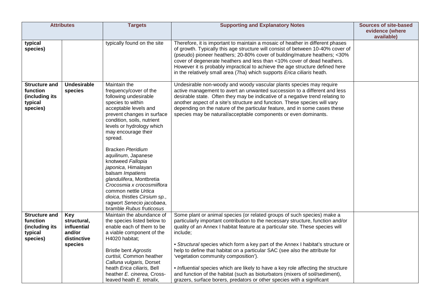| <b>Attributes</b>                                                         |                                                                              | <b>Targets</b>                                                                                                                                                                                                                                                                                                                                                                                                                                                                                                                          | <b>Supporting and Explanatory Notes</b>                                                                                                                                                                                                                                                                                                                                                                                                                                                                                                                                                                                                                                                                            | <b>Sources of site-based</b>  |
|---------------------------------------------------------------------------|------------------------------------------------------------------------------|-----------------------------------------------------------------------------------------------------------------------------------------------------------------------------------------------------------------------------------------------------------------------------------------------------------------------------------------------------------------------------------------------------------------------------------------------------------------------------------------------------------------------------------------|--------------------------------------------------------------------------------------------------------------------------------------------------------------------------------------------------------------------------------------------------------------------------------------------------------------------------------------------------------------------------------------------------------------------------------------------------------------------------------------------------------------------------------------------------------------------------------------------------------------------------------------------------------------------------------------------------------------------|-------------------------------|
|                                                                           |                                                                              |                                                                                                                                                                                                                                                                                                                                                                                                                                                                                                                                         |                                                                                                                                                                                                                                                                                                                                                                                                                                                                                                                                                                                                                                                                                                                    | evidence (where<br>available) |
| typical<br>species)                                                       |                                                                              | typically found on the site                                                                                                                                                                                                                                                                                                                                                                                                                                                                                                             | Therefore, it is important to maintain a mosaic of heather in different phases<br>of growth. Typically this age structure will consist of between 10-40% cover of<br>(pseudo) pioneer heathers; 20-80% cover of building/mature heathers; <30%<br>cover of degenerate heathers and less than <10% cover of dead heathers.<br>However it is probably impractical to achieve the age structure defined here<br>in the relatively small area (7ha) which supports Erica ciliaris heath.                                                                                                                                                                                                                               |                               |
| <b>Structure and</b><br>function<br>(including its<br>typical<br>species) | <b>Undesirable</b><br>species                                                | Maintain the<br>frequency/cover of the<br>following undesirable<br>species to within<br>acceptable levels and<br>prevent changes in surface<br>condition, soils, nutrient<br>levels or hydrology which<br>may encourage their<br>spread.<br><b>Bracken Pteridium</b><br>aquilinum, Japanese<br>knotweed Fallopia<br>japonica, Himalayan<br>balsam Impatiens<br>glandulifera, Montbretia<br>Crocosmia x crocosmiiflora<br>common nettle Urtica<br>dioica, thistles Cirsium sp.,<br>ragwort Senecio jacobaea,<br>bramble Rubus fruticosus | Undesirable non-woody and woody vascular plants species may require<br>active management to avert an unwanted succession to a different and less<br>desirable state. Often they may be indicative of a negative trend relating to<br>another aspect of a site's structure and function. These species will vary<br>depending on the nature of the particular feature, and in some cases these<br>species may be natural/acceptable components or even dominants.                                                                                                                                                                                                                                                   |                               |
| <b>Structure and</b><br>function<br>(including its<br>typical<br>species) | <b>Key</b><br>structural,<br>influential<br>and/or<br>distinctive<br>species | Maintain the abundance of<br>the species listed below to<br>enable each of them to be<br>a viable component of the<br>H4020 habitat;<br><b>Bristle bent Agrostis</b><br>curtisii, Common heather<br>Calluna vulgaris, Dorset<br>heath Erica ciliaris, Bell<br>heather E. cinerea, Cross-<br>leaved heath E. tetralix,                                                                                                                                                                                                                   | Some plant or animal species (or related groups of such species) make a<br>particularly important contribution to the necessary structure, function and/or<br>quality of an Annex I habitat feature at a particular site. These species will<br>include;<br>• Structural species which form a key part of the Annex I habitat's structure or<br>help to define that habitat on a particular SAC (see also the attribute for<br>'vegetation community composition').<br>• Influential species which are likely to have a key role affecting the structure<br>and function of the habitat (such as bioturbators (mixers of soil/sediment),<br>grazers, surface borers, predators or other species with a significant |                               |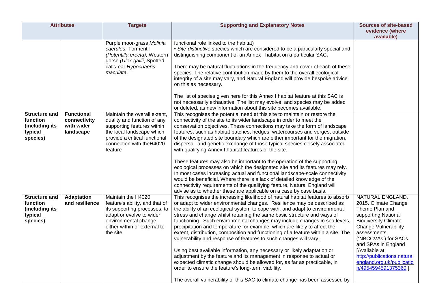| <b>Attributes</b>                                                         |                                                              | <b>Targets</b>                                                                                                                                                                                 | <b>Supporting and Explanatory Notes</b>                                                                                                                                                                                                                                                                                                                                                                                                                                                                                                                                                                                                                                                                                                                                                                                                                                                                                                                                                                           | <b>Sources of site-based</b><br>evidence (where                                                                                                                                                                                                                                                                     |
|---------------------------------------------------------------------------|--------------------------------------------------------------|------------------------------------------------------------------------------------------------------------------------------------------------------------------------------------------------|-------------------------------------------------------------------------------------------------------------------------------------------------------------------------------------------------------------------------------------------------------------------------------------------------------------------------------------------------------------------------------------------------------------------------------------------------------------------------------------------------------------------------------------------------------------------------------------------------------------------------------------------------------------------------------------------------------------------------------------------------------------------------------------------------------------------------------------------------------------------------------------------------------------------------------------------------------------------------------------------------------------------|---------------------------------------------------------------------------------------------------------------------------------------------------------------------------------------------------------------------------------------------------------------------------------------------------------------------|
|                                                                           |                                                              |                                                                                                                                                                                                |                                                                                                                                                                                                                                                                                                                                                                                                                                                                                                                                                                                                                                                                                                                                                                                                                                                                                                                                                                                                                   | available)                                                                                                                                                                                                                                                                                                          |
|                                                                           |                                                              | Purple moor-grass Molinia<br>caerulea, Tormentil<br>(Potentilla erecta), Western<br>gorse (Ulex gallii, Spotted<br>cat's-ear Hypochaeris<br>maculata.                                          | functional role linked to the habitat)<br>• Site-distinctive species which are considered to be a particularly special and<br>distinguishing component of an Annex I habitat on a particular SAC.<br>There may be natural fluctuations in the frequency and cover of each of these<br>species. The relative contribution made by them to the overall ecological<br>integrity of a site may vary, and Natural England will provide bespoke advice<br>on this as necessary.<br>The list of species given here for this Annex I habitat feature at this SAC is                                                                                                                                                                                                                                                                                                                                                                                                                                                       |                                                                                                                                                                                                                                                                                                                     |
|                                                                           |                                                              |                                                                                                                                                                                                | not necessarily exhaustive. The list may evolve, and species may be added<br>or deleted, as new information about this site becomes available.                                                                                                                                                                                                                                                                                                                                                                                                                                                                                                                                                                                                                                                                                                                                                                                                                                                                    |                                                                                                                                                                                                                                                                                                                     |
| <b>Structure and</b><br>function<br>(including its<br>typical<br>species) | <b>Functional</b><br>connectivity<br>with wider<br>landscape | Maintain the overall extent,<br>quality and function of any<br>supporting features within<br>the local landscape which<br>provide a critical functional<br>connection with theH4020<br>feature | This recognises the potential need at this site to maintain or restore the<br>connectivity of the site to its wider landscape in order to meet the<br>conservation objectives. These connections may take the form of landscape<br>features, such as habitat patches, hedges, watercourses and verges, outside<br>of the designated site boundary which are either important for the migration,<br>dispersal and genetic exchange of those typical species closely associated<br>with qualifying Annex I habitat features of the site.                                                                                                                                                                                                                                                                                                                                                                                                                                                                            |                                                                                                                                                                                                                                                                                                                     |
|                                                                           |                                                              |                                                                                                                                                                                                | These features may also be important to the operation of the supporting<br>ecological processes on which the designated site and its features may rely.<br>In most cases increasing actual and functional landscape-scale connectivity<br>would be beneficial. Where there is a lack of detailed knowledge of the<br>connectivity requirements of the qualifying feature, Natural England will<br>advise as to whether these are applicable on a case by case basis.                                                                                                                                                                                                                                                                                                                                                                                                                                                                                                                                              |                                                                                                                                                                                                                                                                                                                     |
| <b>Structure and</b><br>function<br>(including its<br>typical<br>species) | <b>Adaptation</b><br>and resilience                          | Maintain the H4020<br>feature's ability, and that of<br>its supporting processes, to<br>adapt or evolve to wider<br>environmental change,<br>either within or external to<br>the site.         | This recognises the increasing likelihood of natural habitat features to absorb<br>or adapt to wider environmental changes. Resilience may be described as<br>the ability of an ecological system to cope with, and adapt to environmental<br>stress and change whilst retaining the same basic structure and ways of<br>functioning. Such environmental changes may include changes in sea levels,<br>precipitation and temperature for example, which are likely to affect the<br>extent, distribution, composition and functioning of a feature within a site. The<br>vulnerability and response of features to such changes will vary.<br>Using best available information, any necessary or likely adaptation or<br>adjustment by the feature and its management in response to actual or<br>expected climatic change should be allowed for, as far as practicable, in<br>order to ensure the feature's long-term viability.<br>The overall vulnerability of this SAC to climate change has been assessed by | NATURAL ENGLAND,<br>2015. Climate Change<br>Theme Plan and<br>supporting National<br><b>Biodiversity Climate</b><br><b>Change Vulnerability</b><br>assessments<br>('NBCCVAs') for SACs<br>and SPAs in England<br>[Available at<br>http://publications.natural<br>england.org.uk/publicatio<br>n/4954594591375360 ]. |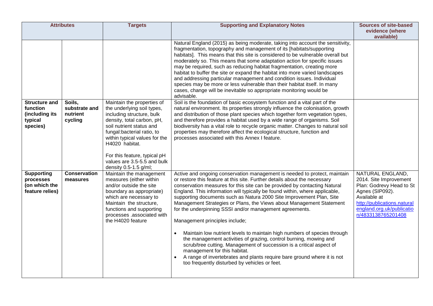|                                                                           | <b>Attributes</b>                              | <b>Targets</b>                                                                                                                                                                                                                                                                                                            | <b>Supporting and Explanatory Notes</b>                                                                                                                                                                                                                                                                                                                                                                                                                                                                                                                                                                                                                                                                                                                                                                                                                                                                                                              | Sources of site-based<br>evidence (where<br>available)                                                                                                                                      |
|---------------------------------------------------------------------------|------------------------------------------------|---------------------------------------------------------------------------------------------------------------------------------------------------------------------------------------------------------------------------------------------------------------------------------------------------------------------------|------------------------------------------------------------------------------------------------------------------------------------------------------------------------------------------------------------------------------------------------------------------------------------------------------------------------------------------------------------------------------------------------------------------------------------------------------------------------------------------------------------------------------------------------------------------------------------------------------------------------------------------------------------------------------------------------------------------------------------------------------------------------------------------------------------------------------------------------------------------------------------------------------------------------------------------------------|---------------------------------------------------------------------------------------------------------------------------------------------------------------------------------------------|
|                                                                           |                                                |                                                                                                                                                                                                                                                                                                                           | Natural England (2015) as being moderate, taking into account the sensitivity,<br>fragmentation, topography and management of its [habitats/supporting<br>habitats]. This means that this site is considered to be vulnerable overall but<br>moderately so. This means that some adaptation action for specific issues<br>may be required, such as reducing habitat fragmentation, creating more<br>habitat to buffer the site or expand the habitat into more varied landscapes<br>and addressing particular management and condition issues. Individual<br>species may be more or less vulnerable than their habitat itself. In many<br>cases, change will be inevitable so appropriate monitoring would be<br>advisable.                                                                                                                                                                                                                          |                                                                                                                                                                                             |
| <b>Structure and</b><br>function<br>(including its<br>typical<br>species) | Soils.<br>substrate and<br>nutrient<br>cycling | Maintain the properties of<br>the underlying soil types,<br>including structure, bulk<br>density, total carbon, pH,<br>soil nutrient status and<br>fungal: bacterial ratio, to<br>within typical values for the<br>H4020 habitat.<br>For this feature, typical pH<br>values are 3.5-5.5 and bulk<br>density 0.5-1.5 g/ml; | Soil is the foundation of basic ecosystem function and a vital part of the<br>natural environment. Its properties strongly influence the colonisation, growth<br>and distribution of those plant species which together form vegetation types,<br>and therefore provides a habitat used by a wide range of organisms. Soil<br>biodiversity has a vital role to recycle organic matter. Changes to natural soil<br>properties may therefore affect the ecological structure, function and<br>processes associated with this Annex I feature.                                                                                                                                                                                                                                                                                                                                                                                                          |                                                                                                                                                                                             |
| <b>Supporting</b><br>processes<br>(on which the<br>feature relies)        | <b>Conservation</b><br>measures                | Maintain the management<br>measures (either within<br>and/or outside the site<br>boundary as appropriate)<br>which are necessary to<br>Maintain the structure,<br>functions and supporting<br>processes .associated with<br>the H4020 feature                                                                             | Active and ongoing conservation management is needed to protect, maintain<br>or restore this feature at this site. Further details about the necessary<br>conservation measures for this site can be provided by contacting Natural<br>England. This information will typically be found within, where applicable,<br>supporting documents such as Natura 2000 Site Improvement Plan, Site<br>Management Strategies or Plans, the Views about Management Statement<br>for the underpinning SSSI and/or management agreements.<br>Management principles include;<br>Maintain low nutrient levels to maintain high numbers of species through<br>the management activities of grazing, control burning, mowing and<br>scrub/tree cutting. Management of succession is a critical aspect of<br>management for this habitat.<br>A range of invertebrates and plants require bare ground where it is not<br>too frequently disturbed by vehicles or feet. | NATURAL ENGLAND,<br>2014. Site Improvement<br>Plan: Godrevy Head to St<br>Agnes (SIP092).<br>Available at<br>http://publications.natural<br>england.org.uk/publicatio<br>n/4833138765201408 |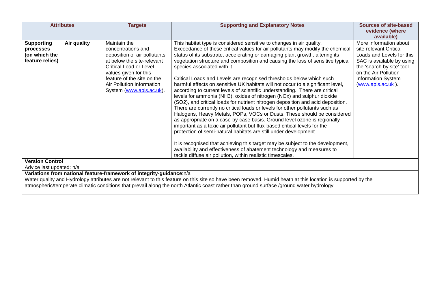|                                                                                                                            | <b>Attributes</b> | <b>Targets</b>                                                                                                                                                                                                                                    | <b>Supporting and Explanatory Notes</b>                                                                                                                                                                                                                                                                                                                                                                                                                                                                                                                                                                                                                                                                                                                                                                                                                                                                                                                                                                                                                                                                                                                                                                                                                                                                                                                                          | <b>Sources of site-based</b><br>evidence (where<br>available)                                                                                                                                                     |  |
|----------------------------------------------------------------------------------------------------------------------------|-------------------|---------------------------------------------------------------------------------------------------------------------------------------------------------------------------------------------------------------------------------------------------|----------------------------------------------------------------------------------------------------------------------------------------------------------------------------------------------------------------------------------------------------------------------------------------------------------------------------------------------------------------------------------------------------------------------------------------------------------------------------------------------------------------------------------------------------------------------------------------------------------------------------------------------------------------------------------------------------------------------------------------------------------------------------------------------------------------------------------------------------------------------------------------------------------------------------------------------------------------------------------------------------------------------------------------------------------------------------------------------------------------------------------------------------------------------------------------------------------------------------------------------------------------------------------------------------------------------------------------------------------------------------------|-------------------------------------------------------------------------------------------------------------------------------------------------------------------------------------------------------------------|--|
| <b>Supporting</b><br>processes<br>(on which the<br>feature relies)                                                         | Air quality       | Maintain the<br>concentrations and<br>deposition of air pollutants<br>at below the site-relevant<br><b>Critical Load or Level</b><br>values given for this<br>feature of the site on the<br>Air Pollution Information<br>System (www.apis.ac.uk). | This habitat type is considered sensitive to changes in air quality.<br>Exceedance of these critical values for air pollutants may modify the chemical<br>status of its substrate, accelerating or damaging plant growth, altering its<br>vegetation structure and composition and causing the loss of sensitive typical<br>species associated with it.<br>Critical Loads and Levels are recognised thresholds below which such<br>harmful effects on sensitive UK habitats will not occur to a significant level,<br>according to current levels of scientific understanding. There are critical<br>levels for ammonia (NH3), oxides of nitrogen (NOx) and sulphur dioxide<br>(SO2), and critical loads for nutrient nitrogen deposition and acid deposition.<br>There are currently no critical loads or levels for other pollutants such as<br>Halogens, Heavy Metals, POPs, VOCs or Dusts. These should be considered<br>as appropriate on a case-by-case basis. Ground level ozone is regionally<br>important as a toxic air pollutant but flux-based critical levels for the<br>protection of semi-natural habitats are still under development.<br>It is recognised that achieving this target may be subject to the development,<br>availability and effectiveness of abatement technology and measures to<br>tackle diffuse air pollution, within realistic timescales. | More information about<br>site-relevant Critical<br>Loads and Levels for this<br>SAC is available by using<br>the 'search by site' tool<br>on the Air Pollution<br><b>Information System</b><br>(www.apis.ac.uk). |  |
| <b>Version Control</b><br>Advice last updated: n/a<br>Variations from national feature-framework of integrity-guidance:n/a |                   |                                                                                                                                                                                                                                                   |                                                                                                                                                                                                                                                                                                                                                                                                                                                                                                                                                                                                                                                                                                                                                                                                                                                                                                                                                                                                                                                                                                                                                                                                                                                                                                                                                                                  |                                                                                                                                                                                                                   |  |
|                                                                                                                            |                   |                                                                                                                                                                                                                                                   | Water quality and Hydrology attributes are not relevant to this feature on this site so have been removed. Humid heath at this location is supported by the<br>atmospheric/temperate climatic conditions that prevail along the north Atlantic coast rather than ground surface /ground water hydrology.                                                                                                                                                                                                                                                                                                                                                                                                                                                                                                                                                                                                                                                                                                                                                                                                                                                                                                                                                                                                                                                                         |                                                                                                                                                                                                                   |  |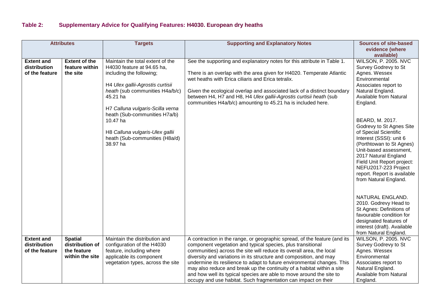# **Table 2: Supplementary Advice for Qualifying Features: H4030. European dry heaths**

|                                                     | <b>Attributes</b>                                                   | <b>Targets</b>                                                                                                                                                                                                                                                                                                                                  | <b>Supporting and Explanatory Notes</b>                                                                                                                                                                                                                                                                                                                                                                                                                                                                                                                                               | <b>Sources of site-based</b><br>evidence (where<br>available)                                                                                                                                                                                                                                                                                                                                                                                                                              |
|-----------------------------------------------------|---------------------------------------------------------------------|-------------------------------------------------------------------------------------------------------------------------------------------------------------------------------------------------------------------------------------------------------------------------------------------------------------------------------------------------|---------------------------------------------------------------------------------------------------------------------------------------------------------------------------------------------------------------------------------------------------------------------------------------------------------------------------------------------------------------------------------------------------------------------------------------------------------------------------------------------------------------------------------------------------------------------------------------|--------------------------------------------------------------------------------------------------------------------------------------------------------------------------------------------------------------------------------------------------------------------------------------------------------------------------------------------------------------------------------------------------------------------------------------------------------------------------------------------|
| <b>Extent and</b><br>distribution<br>of the feature | <b>Extent of the</b><br>feature within<br>the site                  | Maintain the total extent of the<br>H4030 feature at 94.65 ha,<br>including the following;<br>H4 Ulex gallii-Agrostis curtisii<br>heath (sub communities H4a/b/c)<br>45.21 ha<br>H7 Calluna vulgaris-Scilla verna<br>heath (Sub-communities H7a/b)<br>10.47 ha<br>H8 Calluna vulgaris-Ulex gallii<br>heath (Sub-communities (H8a/d)<br>38.97 ha | See the supporting and explanatory notes for this attribute in Table 1.<br>There is an overlap with the area given for H4020. Temperate Atlantic<br>wet heaths with Erica ciliaris and Erica tetralix.<br>Given the ecological overlap and associated lack of a distinct boundary<br>between H4, H7 and H8, H4 Ulex gallii-Agrostis curtisii heath (sub<br>communities H4a/b/c) amounting to 45.21 ha is included here.                                                                                                                                                               | <b>WILSON, P. 2005. NVC</b><br>Survey Godrevy to St<br>Agnes. Wessex<br>Environmental<br>Associates report to<br>Natural England.<br>Available from Natural<br>England.<br>BEARD, M. 2017.<br>Godrevy to St Agnes Site<br>of Special Scientific<br>Interest (SSSI): unit 6<br>(Porthtowan to St Agnes)<br>Unit-based assessment,<br>2017 Natural England<br>Field Unit Report project:<br>NEFU2017-223 Project<br>report. Report is available<br>from Natural England.<br>NATURAL ENGLAND. |
|                                                     |                                                                     |                                                                                                                                                                                                                                                                                                                                                 |                                                                                                                                                                                                                                                                                                                                                                                                                                                                                                                                                                                       | 2010. Godrevy Head to<br>St Agnes: Definitions of<br>favourable condition for<br>designated features of<br>interest (draft). Available<br>from Natural England.                                                                                                                                                                                                                                                                                                                            |
| <b>Extent and</b><br>distribution<br>of the feature | <b>Spatial</b><br>distribution of<br>the feature<br>within the site | Maintain the distribution and<br>configuration of the H4030<br>feature, including where<br>applicable its component<br>vegetation types, across the site                                                                                                                                                                                        | A contraction in the range, or geographic spread, of the feature (and its<br>component vegetation and typical species, plus transitional<br>communities) across the site will reduce its overall area, the local<br>diversity and variations in its structure and composition, and may<br>undermine its resilience to adapt to future environmental changes. This<br>may also reduce and break up the continuity of a habitat within a site<br>and how well its typical species are able to move around the site to<br>occupy and use habitat. Such fragmentation can impact on their | <b>WILSON, P. 2005. NVC</b><br>Survey Godrevy to St<br>Agnes. Wessex<br>Environmental<br>Associates report to<br>Natural England.<br>Available from Natural<br>England.                                                                                                                                                                                                                                                                                                                    |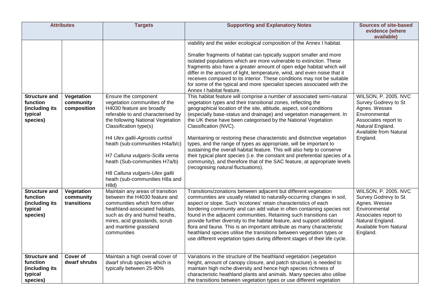| <b>Attributes</b>                                                         |                                        | <b>Targets</b>                                                                                                                                                                                                                                                                                                                                                                                          | <b>Supporting and Explanatory Notes</b>                                                                                                                                                                                                                                                                                                                                                                                                                                                                                                                                                                                                                                                                                                                                                                                                                                                                                                                                                                                                                                                                                                                                                                                                                                                                                                                                        | <b>Sources of site-based</b>                                                                                                                                            |
|---------------------------------------------------------------------------|----------------------------------------|---------------------------------------------------------------------------------------------------------------------------------------------------------------------------------------------------------------------------------------------------------------------------------------------------------------------------------------------------------------------------------------------------------|--------------------------------------------------------------------------------------------------------------------------------------------------------------------------------------------------------------------------------------------------------------------------------------------------------------------------------------------------------------------------------------------------------------------------------------------------------------------------------------------------------------------------------------------------------------------------------------------------------------------------------------------------------------------------------------------------------------------------------------------------------------------------------------------------------------------------------------------------------------------------------------------------------------------------------------------------------------------------------------------------------------------------------------------------------------------------------------------------------------------------------------------------------------------------------------------------------------------------------------------------------------------------------------------------------------------------------------------------------------------------------|-------------------------------------------------------------------------------------------------------------------------------------------------------------------------|
|                                                                           |                                        |                                                                                                                                                                                                                                                                                                                                                                                                         |                                                                                                                                                                                                                                                                                                                                                                                                                                                                                                                                                                                                                                                                                                                                                                                                                                                                                                                                                                                                                                                                                                                                                                                                                                                                                                                                                                                | evidence (where                                                                                                                                                         |
|                                                                           |                                        |                                                                                                                                                                                                                                                                                                                                                                                                         |                                                                                                                                                                                                                                                                                                                                                                                                                                                                                                                                                                                                                                                                                                                                                                                                                                                                                                                                                                                                                                                                                                                                                                                                                                                                                                                                                                                | available)                                                                                                                                                              |
| <b>Structure and</b><br>function<br>(including its<br>typical<br>species) | Vegetation<br>community<br>composition | Ensure the component<br>vegetation communities of the<br>H4030 feature are broadly<br>referable to and characterised by<br>the following National Vegetation<br>Classification type(s)<br>H4 Ulex gallii-Agrostis curtisii<br>heath (sub-communities H4a/b/c)<br>H7 Calluna vulgaris-Scilla verna<br>heath (Sub-communities H7a/b)<br>H8 Calluna vulgaris-Ulex gallii<br>heath (sub-communities H8a and | viability and the wider ecological composition of the Annex I habitat.<br>Smaller fragments of habitat can typically support smaller and more<br>isolated populations which are more vulnerable to extinction. These<br>fragments also have a greater amount of open edge habitat which will<br>differ in the amount of light, temperature, wind, and even noise that it<br>receives compared to its interior. These conditions may not be suitable<br>for some of the typical and more specialist species associated with the<br>Annex I habitat feature.<br>This habitat feature will comprise a number of associated semi-natural<br>vegetation types and their transitional zones, reflecting the<br>geographical location of the site, altitude, aspect, soil conditions<br>(especially base-status and drainage) and vegetation management. In<br>the UK these have been categorised by the National Vegetation<br>Classification (NVC).<br>Maintaining or restoring these characteristic and distinctive vegetation<br>types, and the range of types as appropriate, will be important to<br>sustaining the overall habitat feature. This will also help to conserve<br>their typical plant species (i.e. the constant and preferential species of a<br>community), and therefore that of the SAC feature, at appropriate levels<br>(recognising natural fluctuations). | <b>WILSON, P. 2005. NVC</b><br>Survey Godrevy to St<br>Agnes. Wessex<br>Environmental<br>Associates report to<br>Natural England.<br>Available from Natural<br>England. |
| <b>Structure and</b><br>function<br>(including its<br>typical<br>species) | Vegetation<br>community<br>transitions | H8d)<br>Maintain any areas of transition<br>between the H4030 feature and<br>communities which form other<br>heathland-associated habitats,<br>such as dry and humid heaths,<br>mires, acid grasslands, scrub<br>and maritime grassland<br>communities                                                                                                                                                  | Transitions/zonations between adjacent but different vegetation<br>communities are usually related to naturally-occurring changes in soil,<br>aspect or slope. Such 'ecotones' retain characteristics of each<br>bordering community and can add value in often containing species not<br>found in the adjacent communities. Retaining such transitions can<br>provide further diversity to the habitat feature, and support additional<br>flora and fauna. This is an important attribute as many characteristic<br>heathland species utilise the transitions between vegetation types or<br>use different vegetation types during different stages of their life cycle.                                                                                                                                                                                                                                                                                                                                                                                                                                                                                                                                                                                                                                                                                                      | <b>WILSON, P. 2005. NVC</b><br>Survey Godrevy to St<br>Agnes. Wessex<br>Environmental<br>Associates report to<br>Natural England.<br>Available from Natural<br>England. |
| <b>Structure and</b><br>function<br>(including its<br>typical<br>species) | <b>Cover of</b><br>dwarf shrubs        | Maintain a high overall cover of<br>dwarf shrub species which is<br>typically between 25-90%                                                                                                                                                                                                                                                                                                            | Variations in the structure of the heathland vegetation (vegetation<br>height, amount of canopy closure, and patch structure) is needed to<br>maintain high niche diversity and hence high species richness of<br>characteristic heathland plants and animals. Many species also utilise<br>the transitions between vegetation types or use different vegetation                                                                                                                                                                                                                                                                                                                                                                                                                                                                                                                                                                                                                                                                                                                                                                                                                                                                                                                                                                                                               |                                                                                                                                                                         |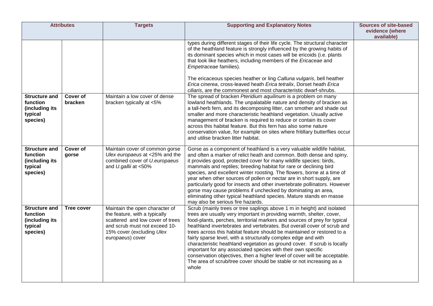| <b>Attributes</b>                                                                |                            | <b>Targets</b>                                                                                                                                                                        | <b>Supporting and Explanatory Notes</b>                                                                                                                                                                                                                                                                                                                                                                                                                                                                                                                                                                                                                                                                                                                        | <b>Sources of site-based</b><br>evidence (where<br>available) |
|----------------------------------------------------------------------------------|----------------------------|---------------------------------------------------------------------------------------------------------------------------------------------------------------------------------------|----------------------------------------------------------------------------------------------------------------------------------------------------------------------------------------------------------------------------------------------------------------------------------------------------------------------------------------------------------------------------------------------------------------------------------------------------------------------------------------------------------------------------------------------------------------------------------------------------------------------------------------------------------------------------------------------------------------------------------------------------------------|---------------------------------------------------------------|
|                                                                                  |                            |                                                                                                                                                                                       | types during different stages of their life cycle. The structural character<br>of the heathland feature is strongly influenced by the growing habits of<br>its dominant species which in most cases will be ericoids (i.e. plants<br>that look like heathers, including members of the Ericaceae and<br>Empetraceae families).<br>The ericaceous species heather or ling Calluna vulgaris, bell heather<br>Erica cinerea, cross-leaved heath Erica tetralix, Dorset heath Erica<br>ciliaris, are the commonest and most characteristic dwarf-shrubs.                                                                                                                                                                                                           |                                                               |
| <b>Structure and</b><br>function<br>(including its<br>typical<br>species)        | <b>Cover of</b><br>bracken | Maintain a low cover of dense<br>bracken typically at <5%                                                                                                                             | The spread of bracken Pteridium aquilinum is a problem on many<br>lowland heathlands. The unpalatable nature and density of bracken as<br>a tall-herb fern, and its decomposing litter, can smother and shade out<br>smaller and more characteristic heathland vegetation. Usually active<br>management of bracken is required to reduce or contain its cover<br>across this habitat feature. But this fern has also some nature<br>conservation value, for example on sites where fritillary butterflies occur<br>and utilise bracken litter habitat.                                                                                                                                                                                                         |                                                               |
| <b>Structure and</b><br><b>function</b><br>(including its<br>typical<br>species) | <b>Cover of</b><br>gorse   | Maintain cover of common gorse<br>Ulex europaeus at <25% and the<br>combined cover of U.europaeus<br>and U.gallii at <50%                                                             | Gorse as a component of heathland is a very valuable wildlife habitat,<br>and often a marker of relict heath and common. Both dense and spiny,<br>it provides good, protected cover for many wildlife species: birds,<br>mammals and reptiles; breeding habitat for rare or declining bird<br>species, and excellent winter roosting. The flowers, borne at a time of<br>year when other sources of pollen or nectar are in short supply, are<br>particularly good for insects and other invertebrate pollinators. However<br>gorse may cause problems if unchecked by dominating an area,<br>eliminating other typical heathland species. Mature stands en masse<br>may also be serious fire hazards.                                                         |                                                               |
| <b>Structure and</b><br>function<br>(including its<br>typical<br>species)        | <b>Tree cover</b>          | Maintain the open character of<br>the feature, with a typically<br>scattered and low cover of trees<br>and scrub must not exceed 10-<br>15% cover (excluding Ulex<br>europaeus) cover | Scrub (mainly trees or tree saplings above 1 m in height) and isolated<br>trees are usually very important in providing warmth, shelter, cover,<br>food-plants, perches, territorial markers and sources of prey for typical<br>heathland invertebrates and vertebrates. But overall cover of scrub and<br>trees across this habitat feature should be maintained or restored to a<br>fairly sparse level, with a structurally complex edge and with<br>characteristic heathland vegetation as ground cover. If scrub is locally<br>important for any associated species with their own specific<br>conservation objectives, then a higher level of cover will be acceptable.<br>The area of scrub/tree cover should be stable or not increasing as a<br>whole |                                                               |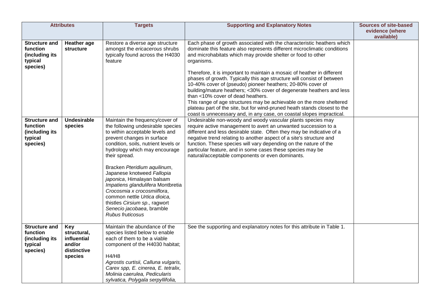|                                                                           | <b>Attributes</b>                                                     | <b>Targets</b>                                                                                                                                                                                                                                                                                                                                                                                                                                                                                                    | <b>Supporting and Explanatory Notes</b>                                                                                                                                                                                                                                                                                                                                                                                                                                                                                                                                                                                                                                                                                                                                                        | <b>Sources of site-based</b><br>evidence (where<br>available) |
|---------------------------------------------------------------------------|-----------------------------------------------------------------------|-------------------------------------------------------------------------------------------------------------------------------------------------------------------------------------------------------------------------------------------------------------------------------------------------------------------------------------------------------------------------------------------------------------------------------------------------------------------------------------------------------------------|------------------------------------------------------------------------------------------------------------------------------------------------------------------------------------------------------------------------------------------------------------------------------------------------------------------------------------------------------------------------------------------------------------------------------------------------------------------------------------------------------------------------------------------------------------------------------------------------------------------------------------------------------------------------------------------------------------------------------------------------------------------------------------------------|---------------------------------------------------------------|
| <b>Structure and</b><br>function<br>(including its<br>typical<br>species) | <b>Heather</b> age<br>structure                                       | Restore a diverse age structure<br>amongst the ericacerous shrubs<br>typically found across the H4030<br>feature                                                                                                                                                                                                                                                                                                                                                                                                  | Each phase of growth associated with the characteristic heathers which<br>dominate this feature also represents different microclimatic conditions<br>and microhabitats which may provide shelter or food to other<br>organisms.<br>Therefore, it is important to maintain a mosaic of heather in different<br>phases of growth. Typically this age structure will consist of between<br>10-40% cover of (pseudo) pioneer heathers; 20-80% cover of<br>building/mature heathers; <30% cover of degenerate heathers and less<br>than <10% cover of dead heathers.<br>This range of age structures may be achievable on the more sheltered<br>plateau part of the site, but for wind-pruned heath stands closest to the<br>coast is unnecessary and, in any case, on coastal slopes impractical. |                                                               |
| <b>Structure and</b><br>function<br>(including its<br>typical<br>species) | <b>Undesirable</b><br>species                                         | Maintain the frequency/cover of<br>the following undesirable species<br>to within acceptable levels and<br>prevent changes in surface<br>condition, soils, nutrient levels or<br>hydrology which may encourage<br>their spread.<br>Bracken Pteridium aquilinum,<br>Japanese knotweed Fallopia<br>japonica, Himalayan balsam<br>Impatiens glandulifera Montbretia<br>Crocosmia x crocosmiiflora,<br>common nettle Urtica dioica,<br>thistles Cirsium sp., ragwort<br>Senecio jacobaea, bramble<br>Rubus fruticosus | Undesirable non-woody and woody vascular plants species may<br>require active management to avert an unwanted succession to a<br>different and less desirable state. Often they may be indicative of a<br>negative trend relating to another aspect of a site's structure and<br>function. These species will vary depending on the nature of the<br>particular feature, and in some cases these species may be<br>natural/acceptable components or even dominants.                                                                                                                                                                                                                                                                                                                            |                                                               |
| <b>Structure and</b><br>function<br>(including its<br>typical<br>species) | Key<br>structural.<br>influential<br>and/or<br>distinctive<br>species | Maintain the abundance of the<br>species listed below to enable<br>each of them to be a viable<br>component of the H4030 habitat;<br>H4/H8<br>Agrostis curtisii, Calluna vulgaris,<br>Carex spp, E. cinerea, E. tetralix,<br>Molinia caerulea, Pedicularis<br>sylvatica, Polygala serpyllifolia,                                                                                                                                                                                                                  | See the supporting and explanatory notes for this attribute in Table 1.                                                                                                                                                                                                                                                                                                                                                                                                                                                                                                                                                                                                                                                                                                                        |                                                               |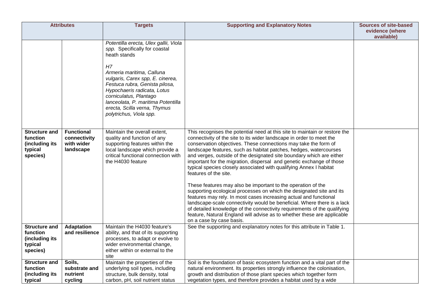| <b>Attributes</b>                                                         |                                                              | <b>Targets</b>                                                                                                                                                                                                                                                                                                                                                                                                                                                                                                                                            | <b>Supporting and Explanatory Notes</b>                                                                                                                                                                                                                                                                                                                                                                                                                                                                                                                                                                                                                                                                                                                                                                                                                                                                                                                                                                              | <b>Sources of site-based</b><br>evidence (where<br>available) |
|---------------------------------------------------------------------------|--------------------------------------------------------------|-----------------------------------------------------------------------------------------------------------------------------------------------------------------------------------------------------------------------------------------------------------------------------------------------------------------------------------------------------------------------------------------------------------------------------------------------------------------------------------------------------------------------------------------------------------|----------------------------------------------------------------------------------------------------------------------------------------------------------------------------------------------------------------------------------------------------------------------------------------------------------------------------------------------------------------------------------------------------------------------------------------------------------------------------------------------------------------------------------------------------------------------------------------------------------------------------------------------------------------------------------------------------------------------------------------------------------------------------------------------------------------------------------------------------------------------------------------------------------------------------------------------------------------------------------------------------------------------|---------------------------------------------------------------|
| <b>Structure and</b><br>function<br>(including its<br>typical<br>species) | <b>Functional</b><br>connectivity<br>with wider<br>landscape | Potentilla erecta, Ulex gallii, Viola<br>spp. Specifically for coastal<br>heath stands<br>H7<br>Armeria maritima, Calluna<br>vulgaris, Carex spp, E. cinerea,<br>Festuca rubra, Genista pilosa,<br>Hypochaeris radicata, Lotus<br>corniculatus, Plantago<br>lanceolata, P. maritima Potentilla<br>erecta, Scilla verna, Thymus<br>polytrichus, Viola spp.<br>Maintain the overall extent,<br>quality and function of any<br>supporting features within the<br>local landscape which provide a<br>critical functional connection with<br>the H4030 feature | This recognises the potential need at this site to maintain or restore the<br>connectivity of the site to its wider landscape in order to meet the<br>conservation objectives. These connections may take the form of<br>landscape features, such as habitat patches, hedges, watercourses<br>and verges, outside of the designated site boundary which are either<br>important for the migration, dispersal and genetic exchange of those<br>typical species closely associated with qualifying Annex I habitat<br>features of the site.<br>These features may also be important to the operation of the<br>supporting ecological processes on which the designated site and its<br>features may rely. In most cases increasing actual and functional<br>landscape-scale connectivity would be beneficial. Where there is a lack<br>of detailed knowledge of the connectivity requirements of the qualifying<br>feature, Natural England will advise as to whether these are applicable<br>on a case by case basis. |                                                               |
| <b>Structure and</b><br>function<br>(including its<br>typical<br>species) | <b>Adaptation</b><br>and resilience                          | Maintain the H4030 feature's<br>ability, and that of its supporting<br>processes, to adapt or evolve to<br>wider environmental change,<br>either within or external to the<br>site                                                                                                                                                                                                                                                                                                                                                                        | See the supporting and explanatory notes for this attribute in Table 1.                                                                                                                                                                                                                                                                                                                                                                                                                                                                                                                                                                                                                                                                                                                                                                                                                                                                                                                                              |                                                               |
| <b>Structure and</b><br>function<br>(including its<br>typical             | Soils,<br>substrate and<br>nutrient<br>cycling               | Maintain the properties of the<br>underlying soil types, including<br>structure, bulk density, total<br>carbon, pH, soil nutrient status                                                                                                                                                                                                                                                                                                                                                                                                                  | Soil is the foundation of basic ecosystem function and a vital part of the<br>natural environment. Its properties strongly influence the colonisation,<br>growth and distribution of those plant species which together form<br>vegetation types, and therefore provides a habitat used by a wide                                                                                                                                                                                                                                                                                                                                                                                                                                                                                                                                                                                                                                                                                                                    |                                                               |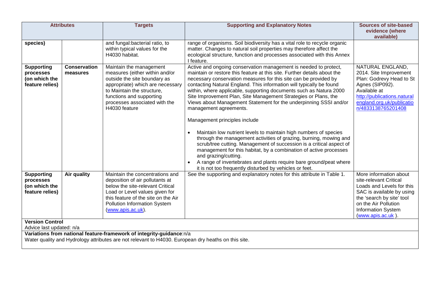| <b>Attributes</b>                                                                                   | <b>Targets</b>                                                     | <b>Supporting and Explanatory Notes</b>                                                                                                          | <b>Sources of site-based</b>                           |  |  |
|-----------------------------------------------------------------------------------------------------|--------------------------------------------------------------------|--------------------------------------------------------------------------------------------------------------------------------------------------|--------------------------------------------------------|--|--|
|                                                                                                     |                                                                    |                                                                                                                                                  | evidence (where                                        |  |  |
| species)                                                                                            |                                                                    |                                                                                                                                                  | available)                                             |  |  |
|                                                                                                     | and fungal:bacterial ratio, to<br>within typical values for the    | range of organisms. Soil biodiversity has a vital role to recycle organic<br>matter. Changes to natural soil properties may therefore affect the |                                                        |  |  |
|                                                                                                     | H4030 habitat.                                                     | ecological structure, function and processes associated with this Annex                                                                          |                                                        |  |  |
|                                                                                                     |                                                                    | I feature.                                                                                                                                       |                                                        |  |  |
| <b>Conservation</b><br><b>Supporting</b>                                                            | Maintain the management                                            | Active and ongoing conservation management is needed to protect,                                                                                 | NATURAL ENGLAND,                                       |  |  |
| processes<br>measures                                                                               | measures (either within and/or                                     | maintain or restore this feature at this site. Further details about the                                                                         | 2014. Site Improvement                                 |  |  |
| (on which the<br>feature relies)                                                                    | outside the site boundary as<br>appropriate) which are necessary   | necessary conservation measures for this site can be provided by<br>contacting Natural England. This information will typically be found         | Plan: Godrevy Head to St<br>Agnes (SIP092).            |  |  |
|                                                                                                     | to Maintain the structure.                                         | within, where applicable, supporting documents such as Natura 2000                                                                               | Available at                                           |  |  |
|                                                                                                     | functions and supporting                                           | Site Improvement Plan, Site Management Strategies or Plans, the                                                                                  | http://publications.natural                            |  |  |
|                                                                                                     | processes associated with the                                      | Views about Management Statement for the underpinning SSSI and/or                                                                                | england.org.uk/publicatio                              |  |  |
|                                                                                                     | H4030 feature                                                      | management agreements.                                                                                                                           | n/4833138765201408                                     |  |  |
|                                                                                                     |                                                                    | Management principles include                                                                                                                    |                                                        |  |  |
|                                                                                                     |                                                                    |                                                                                                                                                  |                                                        |  |  |
|                                                                                                     |                                                                    | Maintain low nutrient levels to maintain high numbers of species                                                                                 |                                                        |  |  |
|                                                                                                     |                                                                    | through the management activities of grazing, burning, mowing and                                                                                |                                                        |  |  |
|                                                                                                     |                                                                    | scrub/tree cutting. Management of succession is a critical aspect of                                                                             |                                                        |  |  |
|                                                                                                     |                                                                    | management for this habitat, by a combination of active processes<br>and grazing/cutting.                                                        |                                                        |  |  |
|                                                                                                     |                                                                    | A range of invertebrates and plants require bare ground/peat where                                                                               |                                                        |  |  |
|                                                                                                     |                                                                    | it is not too frequently disturbed by vehicles or feet.                                                                                          |                                                        |  |  |
| Air quality<br><b>Supporting</b>                                                                    | Maintain the concentrations and                                    | See the supporting and explanatory notes for this attribute in Table 1.                                                                          | More information about                                 |  |  |
| processes                                                                                           | deposition of air pollutants at                                    |                                                                                                                                                  | site-relevant Critical                                 |  |  |
| (on which the<br>feature relies)                                                                    | below the site-relevant Critical<br>Load or Level values given for |                                                                                                                                                  | Loads and Levels for this<br>SAC is available by using |  |  |
|                                                                                                     | this feature of the site on the Air                                |                                                                                                                                                  | the 'search by site' tool                              |  |  |
|                                                                                                     | Pollution Information System                                       |                                                                                                                                                  | on the Air Pollution                                   |  |  |
|                                                                                                     | (www.apis.ac.uk).                                                  |                                                                                                                                                  | Information System                                     |  |  |
|                                                                                                     |                                                                    |                                                                                                                                                  | (www.apis.ac.uk).                                      |  |  |
| <b>Version Control</b><br>Advice last updated: n/a                                                  |                                                                    |                                                                                                                                                  |                                                        |  |  |
| Variations from national feature-framework of integrity-guidance:n/a                                |                                                                    |                                                                                                                                                  |                                                        |  |  |
| Water quality and Hydrology attributes are not relevant to H4030. European dry heaths on this site. |                                                                    |                                                                                                                                                  |                                                        |  |  |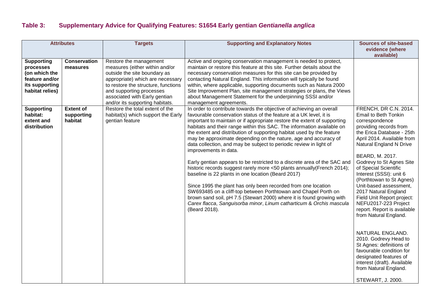# **Table 3: Supplementary Advice for Qualifying Features: S1654 Early gentian** *Gentianella anglica*

| <b>Attributes</b>                                                                                      |                                           | <b>Targets</b>                                                                                                                                                                                                                                                      | <b>Supporting and Explanatory Notes</b>                                                                                                                                                                                                                                                                                                                                                                                                                                                                                                                                                                                                                                                                                                                                                                                                                                                                                                                                                                                                                     | <b>Sources of site-based</b>                                                                                                                                                                                                                                                                                                                                                                                                                                                                                                                                                                                                                                                                             |
|--------------------------------------------------------------------------------------------------------|-------------------------------------------|---------------------------------------------------------------------------------------------------------------------------------------------------------------------------------------------------------------------------------------------------------------------|-------------------------------------------------------------------------------------------------------------------------------------------------------------------------------------------------------------------------------------------------------------------------------------------------------------------------------------------------------------------------------------------------------------------------------------------------------------------------------------------------------------------------------------------------------------------------------------------------------------------------------------------------------------------------------------------------------------------------------------------------------------------------------------------------------------------------------------------------------------------------------------------------------------------------------------------------------------------------------------------------------------------------------------------------------------|----------------------------------------------------------------------------------------------------------------------------------------------------------------------------------------------------------------------------------------------------------------------------------------------------------------------------------------------------------------------------------------------------------------------------------------------------------------------------------------------------------------------------------------------------------------------------------------------------------------------------------------------------------------------------------------------------------|
|                                                                                                        |                                           |                                                                                                                                                                                                                                                                     |                                                                                                                                                                                                                                                                                                                                                                                                                                                                                                                                                                                                                                                                                                                                                                                                                                                                                                                                                                                                                                                             | evidence (where<br>available)                                                                                                                                                                                                                                                                                                                                                                                                                                                                                                                                                                                                                                                                            |
| <b>Supporting</b><br>processes<br>(on which the<br>feature and/or<br>its supporting<br>habitat relies) | <b>Conservation</b><br>measures           | Restore the management<br>measures (either within and/or<br>outside the site boundary as<br>appropriate) which are necessary<br>to restore the structure, functions<br>and supporting processes<br>associated with Early gentian<br>and/or its supporting habitats. | Active and ongoing conservation management is needed to protect,<br>maintain or restore this feature at this site. Further details about the<br>necessary conservation measures for this site can be provided by<br>contacting Natural England. This information will typically be found<br>within, where applicable, supporting documents such as Natura 2000<br>Site Improvement Plan, site management strategies or plans, the Views<br>about Management Statement for the underpinning SSSI and/or<br>management agreements.                                                                                                                                                                                                                                                                                                                                                                                                                                                                                                                            |                                                                                                                                                                                                                                                                                                                                                                                                                                                                                                                                                                                                                                                                                                          |
| <b>Supporting</b><br>habitat:<br>extent and<br>distribution                                            | <b>Extent of</b><br>supporting<br>habitat | Restore the total extent of the<br>habitat(s) which support the Early<br>gentian feature                                                                                                                                                                            | In order to contribute towards the objective of achieving an overall<br>favourable conservation status of the feature at a UK level, it is<br>important to maintain or if appropriate restore the extent of supporting<br>habitats and their range within this SAC. The information available on<br>the extent and distribution of supporting habitat used by the feature<br>may be approximate depending on the nature, age and accuracy of<br>data collection, and may be subject to periodic review in light of<br>improvements in data.<br>Early gentian appears to be restricted to a discrete area of the SAC and<br>historic records suggest rarely more <50 plants annually(French 2014);<br>baseline is 22 plants in one location (Beard 2017)<br>Since 1995 the plant has only been recorded from one location<br>SW693485 on a cliff-top between Porthtowan and Chapel Porth on<br>brown sand soil, pH 7.5 (Stewart 2000) where it is found growing with<br>Carex flacca, Sanguisorba minor, Linum catharticum & Orchis mascula<br>(Beard 2018). | FRENCH, DR C.N. 2014.<br><b>Email to Beth Tonkin</b><br>correspondence<br>providing records from<br>the Erica Database - 25th<br>April 2014. Available from<br>Natural England N Drive<br>BEARD, M. 2017.<br>Godrevy to St Agnes Site<br>of Special Scientific<br>Interest (SSSI): unit 6<br>(Porthtowan to St Agnes)<br>Unit-based assessment,<br>2017 Natural England<br>Field Unit Report project:<br>NEFU2017-223 Project<br>report. Report is available<br>from Natural England.<br>NATURAL ENGLAND.<br>2010. Godrevy Head to<br>St Agnes: definitions of<br>favourable condition for<br>designated features of<br>interest (draft). Available<br>from Natural England.<br><b>STEWART, J. 2000.</b> |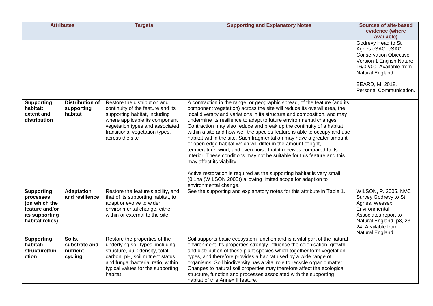| <b>Attributes</b>                                                                                      |                                                 | <b>Targets</b>                                                                                                                                                                                                                | <b>Supporting and Explanatory Notes</b>                                                                                                                                                                                                                                                                                                                                                                                                                                                                                                                                                                                                                                                                                                                                                                                                                                                                                                                 | <b>Sources of site-based</b><br>evidence (where<br>available)                                                                                                                                     |
|--------------------------------------------------------------------------------------------------------|-------------------------------------------------|-------------------------------------------------------------------------------------------------------------------------------------------------------------------------------------------------------------------------------|---------------------------------------------------------------------------------------------------------------------------------------------------------------------------------------------------------------------------------------------------------------------------------------------------------------------------------------------------------------------------------------------------------------------------------------------------------------------------------------------------------------------------------------------------------------------------------------------------------------------------------------------------------------------------------------------------------------------------------------------------------------------------------------------------------------------------------------------------------------------------------------------------------------------------------------------------------|---------------------------------------------------------------------------------------------------------------------------------------------------------------------------------------------------|
|                                                                                                        |                                                 |                                                                                                                                                                                                                               |                                                                                                                                                                                                                                                                                                                                                                                                                                                                                                                                                                                                                                                                                                                                                                                                                                                                                                                                                         | Godrevy Head to St<br>Agnes cSAC: cSAC<br><b>Conservation Objective</b><br>Version 1 English Nature<br>16/02/00. Available from<br>Natural England.<br>BEARD, M. 2018.<br>Personal Communication. |
| <b>Supporting</b><br>habitat:<br>extent and<br>distribution                                            | <b>Distribution of</b><br>supporting<br>habitat | Restore the distribution and<br>continuity of the feature and its<br>supporting habitat, including<br>where applicable its component<br>vegetation types and associated<br>transitional vegetation types,<br>across the site  | A contraction in the range, or geographic spread, of the feature (and its<br>component vegetation) across the site will reduce its overall area, the<br>local diversity and variations in its structure and composition, and may<br>undermine its resilience to adapt to future environmental changes.<br>Contraction may also reduce and break up the continuity of a habitat<br>within a site and how well the species feature is able to occupy and use<br>habitat within the site. Such fragmentation may have a greater amount<br>of open edge habitat which will differ in the amount of light,<br>temperature, wind, and even noise that it receives compared to its<br>interior. These conditions may not be suitable for this feature and this<br>may affect its viability.<br>Active restoration is required as the supporting habitat is very small<br>(0.1ha (WILSON 2005)) allowing limited scope for adaption to<br>environmental change. |                                                                                                                                                                                                   |
| <b>Supporting</b><br>processes<br>(on which the<br>feature and/or<br>its supporting<br>habitat relies) | <b>Adaptation</b><br>and resilience             | Restore the feature's ability, and<br>that of its supporting habitat, to<br>adapt or evolve to wider<br>environmental change, either<br>within or external to the site                                                        | See the supporting and explanatory notes for this attribute in Table 1.                                                                                                                                                                                                                                                                                                                                                                                                                                                                                                                                                                                                                                                                                                                                                                                                                                                                                 | <b>WILSON, P. 2005. NVC</b><br>Survey Godrevy to St<br>Agnes. Wessex<br>Environmental<br>Associates report to<br>Natural England. p3, 23-<br>24. Available from<br>Natural England.               |
| <b>Supporting</b><br>habitat:<br>structure/fun<br>ction                                                | Soils,<br>substrate and<br>nutrient<br>cycling  | Restore the properties of the<br>underlying soil types, including<br>structure, bulk density, total<br>carbon, pH, soil nutrient status<br>and fungal:bacterial ratio, within<br>typical values for the supporting<br>habitat | Soil supports basic ecosystem function and is a vital part of the natural<br>environment. Its properties strongly influence the colonisation, growth<br>and distribution of those plant species which together form vegetation<br>types, and therefore provides a habitat used by a wide range of<br>organisms. Soil biodiversity has a vital role to recycle organic matter.<br>Changes to natural soil properties may therefore affect the ecological<br>structure, function and processes associated with the supporting<br>habitat of this Annex II feature.                                                                                                                                                                                                                                                                                                                                                                                        |                                                                                                                                                                                                   |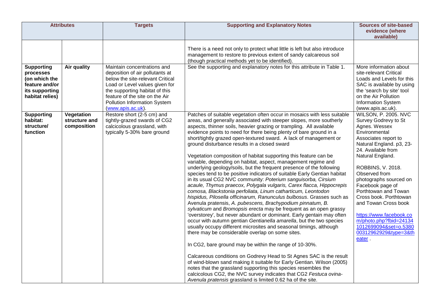| <b>Attributes</b>                                                                                      |                                            | <b>Targets</b>                                                                                                                                                                                                                                                | <b>Supporting and Explanatory Notes</b>                                                                                                                                                                                                                                                                                                                                                                                                                                                                                                                                                                                                                                                                                                                                                                                                                                                                                                                                                                                                                                                                                                                                                                                                                                                                                                                                                                                                                                                                                                                                                                                                                                                                                                                                                                                    | <b>Sources of site-based</b>                                                                                                                                                                                                                                                                                                                                                                                                                                       |
|--------------------------------------------------------------------------------------------------------|--------------------------------------------|---------------------------------------------------------------------------------------------------------------------------------------------------------------------------------------------------------------------------------------------------------------|----------------------------------------------------------------------------------------------------------------------------------------------------------------------------------------------------------------------------------------------------------------------------------------------------------------------------------------------------------------------------------------------------------------------------------------------------------------------------------------------------------------------------------------------------------------------------------------------------------------------------------------------------------------------------------------------------------------------------------------------------------------------------------------------------------------------------------------------------------------------------------------------------------------------------------------------------------------------------------------------------------------------------------------------------------------------------------------------------------------------------------------------------------------------------------------------------------------------------------------------------------------------------------------------------------------------------------------------------------------------------------------------------------------------------------------------------------------------------------------------------------------------------------------------------------------------------------------------------------------------------------------------------------------------------------------------------------------------------------------------------------------------------------------------------------------------------|--------------------------------------------------------------------------------------------------------------------------------------------------------------------------------------------------------------------------------------------------------------------------------------------------------------------------------------------------------------------------------------------------------------------------------------------------------------------|
|                                                                                                        |                                            |                                                                                                                                                                                                                                                               |                                                                                                                                                                                                                                                                                                                                                                                                                                                                                                                                                                                                                                                                                                                                                                                                                                                                                                                                                                                                                                                                                                                                                                                                                                                                                                                                                                                                                                                                                                                                                                                                                                                                                                                                                                                                                            | evidence (where<br>available)                                                                                                                                                                                                                                                                                                                                                                                                                                      |
|                                                                                                        |                                            |                                                                                                                                                                                                                                                               | There is a need not only to protect what little is left but also introduce<br>management to restore to previous extent of sandy calcareous soil<br>(though practical methods yet to be identified).                                                                                                                                                                                                                                                                                                                                                                                                                                                                                                                                                                                                                                                                                                                                                                                                                                                                                                                                                                                                                                                                                                                                                                                                                                                                                                                                                                                                                                                                                                                                                                                                                        |                                                                                                                                                                                                                                                                                                                                                                                                                                                                    |
| <b>Supporting</b><br>processes<br>(on which the<br>feature and/or<br>its supporting<br>habitat relies) | <b>Air quality</b>                         | Maintain concentrations and<br>deposition of air pollutants at<br>below the site-relevant Critical<br>Load or Level values given for<br>the supporting habitat of this<br>feature of the site on the Air<br>Pollution Information System<br>(www.apis.ac.uk). | See the supporting and explanatory notes for this attribute in Table 1.                                                                                                                                                                                                                                                                                                                                                                                                                                                                                                                                                                                                                                                                                                                                                                                                                                                                                                                                                                                                                                                                                                                                                                                                                                                                                                                                                                                                                                                                                                                                                                                                                                                                                                                                                    | More information about<br>site-relevant Critical<br>Loads and Levels for this<br>SAC is available by using<br>the 'search by site' tool<br>on the Air Pollution<br>Information System<br>(www.apis.ac.uk).                                                                                                                                                                                                                                                         |
| <b>Supporting</b><br>habitat:<br>structure/<br>function                                                | Vegetation<br>structure and<br>composition | Restore short (2-5 cm) and<br>tightly-grazed swards of CG2<br>calcicolous grassland, with<br>typically 5-30% bare ground                                                                                                                                      | Patches of suitable vegetation often occur in mosaics with less suitable<br>areas, and generally associated with steeper slopes, more southerly<br>aspects, thinner soils, heavier grazing or trampling. All available<br>evidence points to need for there being plenty of bare ground in a<br>short/tightly grazed open-textured sward. A lack of management or<br>ground disturbance results in a closed sward<br>Vegetation composition of habitat supporting this feature can be<br>variable, depending on habitat, aspect, management regime and<br>underlying geology/soils, but the frequent presence of the following<br>species tend to be positive indicators of suitable Early Gentian habitat<br>in its usual CG2 NVC community: Poterium sanguisorba, Cirsium<br>acaule, Thymus praecox, Polygala vulgaris, Carex flacca, Hippocrepis<br>comosa, Blackstonia perfoliata, Linum catharticum, Leontodon<br>hispidus, Pilosella officinarum, Ranunculus bulbosus. Grasses such as<br>Avenula pratensis, A. pubescens, Brachypodium pinnatum, B.<br>sylvaticum and Bromopsis erecta may be frequent as an open grassy<br>'overstorey', but never abundant or dominant. Early gentain may often<br>occur with autumn gentian Gentianella amarella, but the two species<br>usually occupy different microsites and seasonal timings, although<br>there may be considerable overlap on some sites.<br>In CG2, bare ground may be within the range of 10-30%.<br>Calcareous conditions on Godrevy Head to St Agnes SAC is the result<br>of wind-blown sand making it suitable for Early Gentian. Wilson (2005)<br>notes that the grassland supporting this species resembles the<br>calcicolous CG2, the NVC survey indicates that CG2 Festuca ovina-<br>Avenula pratensis grassland is limited 0.62 ha of the site. | <b>WILSON, P. 2005. NVC</b><br>Survey Godrevy to St<br>Agnes. Wessex<br>Environmental<br>Associates report to<br>Natural England. p3, 23-<br>24. Available from<br>Natural England.<br>ROBBINS, V. 2018.<br>Observed from<br>photographs sourced on<br>Facebook page of<br>Porthtowan and Towan<br>Cross book. Porthtowan<br>and Towan Cross book<br>https://www.facebook.co<br>m/photo.php?fbid=24134<br>1012699094&set=0.5380<br>00312962929&type=3&th<br>eater. |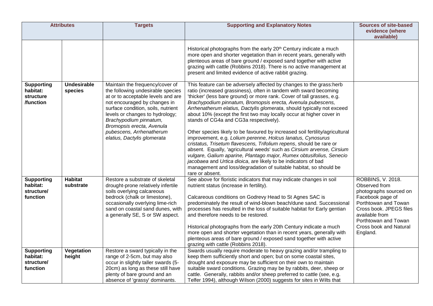| <b>Attributes</b>                                              |                               | <b>Targets</b>                                                                                                                                                                                                                                                                                                                        | <b>Supporting and Explanatory Notes</b>                                                                                                                                                                                                                                                                                                                                                                                                                                                                                                                                                                                                                                                                                                                                                                                                                                                                                                                                                                         | <b>Sources of site-based</b><br>evidence (where<br>available)                                                                                                                                                       |
|----------------------------------------------------------------|-------------------------------|---------------------------------------------------------------------------------------------------------------------------------------------------------------------------------------------------------------------------------------------------------------------------------------------------------------------------------------|-----------------------------------------------------------------------------------------------------------------------------------------------------------------------------------------------------------------------------------------------------------------------------------------------------------------------------------------------------------------------------------------------------------------------------------------------------------------------------------------------------------------------------------------------------------------------------------------------------------------------------------------------------------------------------------------------------------------------------------------------------------------------------------------------------------------------------------------------------------------------------------------------------------------------------------------------------------------------------------------------------------------|---------------------------------------------------------------------------------------------------------------------------------------------------------------------------------------------------------------------|
|                                                                |                               |                                                                                                                                                                                                                                                                                                                                       | Historical photographs from the early 20 <sup>th</sup> Century indicate a much<br>more open and shorter vegetation than in recent years, generally with<br>plenteous areas of bare ground / exposed sand together with active<br>grazing with cattle (Robbins 2018). There is no active management at<br>present and limited evidence of active rabbit grazing.                                                                                                                                                                                                                                                                                                                                                                                                                                                                                                                                                                                                                                                 |                                                                                                                                                                                                                     |
| <b>Supporting</b><br>habitat:<br><b>structure</b><br>/function | <b>Undesirable</b><br>species | Maintain the frequency/cover of<br>the following undesirable species<br>at or to acceptable levels and are<br>not encouraged by changes in<br>surface condition, soils, nutrient<br>levels or changes to hydrology;<br>Brachypodium pinnatum,<br>Bromopsis erecta, Avenula<br>pubescens, Arrhenatherum<br>elatius, Dactylis glomerata | This feature can be adversely affected by changes to the grass:herb<br>ratio (increased grassiness), often in tandem with sward becoming<br>'thicker' (less bare ground) or more rank. Cover of tall grasses, e.g.<br>Brachypodium pinnatum, Bromopsis erecta, Avenula pubescens,<br>Arrhenatherum elatius, Dactylis glomerata, should typically not exceed<br>about 10% (except the first two may locally occur at higher cover in<br>stands of CG4a and CG3a respectively).<br>Other species likely to be favoured by increased soil fertility/agricultural<br>improvement, e.g. Lolium perenne, Holcus lanatus, Cynosurus<br>cristatus, Trisetum flavescens, Trifolium repens, should be rare or<br>absent. Equally, 'agricultural weeds' such as Cirsium arvense, Cirsium<br>vulgare, Galium aparine, Plantago major, Rumex obtusifolius, Senecio<br>jacobaea and Urtica dioica, are likely to be indicators of bad<br>management and loss/degradation of suitable habitat, so should be<br>rare or absent. |                                                                                                                                                                                                                     |
| <b>Supporting</b><br>habitat:<br>structure/<br>function        | <b>Habitat</b><br>substrate   | Restore a substrate of skeletal<br>drought-prone relatively infertile<br>soils overlying calcareous<br>bedrock (chalk or limestone),<br>occasionally overlying lime-rich<br>sand on coastal sand dunes, with<br>a generally SE, S or SW aspect.                                                                                       | See above for floristic indicators that may indicate changes in soil<br>nutrient status (increase in fertility).<br>Calcareous conditions on Godrevy Head to St Agnes SAC is<br>predominately the result of wind-blown beach/dune sand. Successional<br>processes has resulted in the loss of suitable habitat for Early gentian<br>and therefore needs to be restored.<br>Historical photographs from the early 20th Century indicate a much<br>more open and shorter vegetation than in recent years, generally with<br>plenteous areas of bare ground / exposed sand together with active<br>grazing with cattle (Robbins 2018).                                                                                                                                                                                                                                                                                                                                                                             | ROBBINS, V. 2018.<br>Observed from<br>photographs sourced on<br>Facebook page of<br>Porthtowan and Towan<br>Cross book. JPEGS files<br>available from<br>Porthtowan and Towan<br>Cross book and Natural<br>England. |
| <b>Supporting</b><br>habitat:<br>structure/<br>function        | Vegetation<br>height          | Restore a sward typically in the<br>range of 2-5cm, but may also<br>occur in slightly taller swards (5-<br>20cm) as long as these still have<br>plenty of bare ground and an<br>absence of 'grassy' dominants.                                                                                                                        | Swards usually require moderate to heavy grazing and/or trampling to<br>keep them sufficiently short and open; but on some coastal sites,<br>drought and exposure may be sufficient on their own to maintain<br>suitable sward conditions. Grazing may be by rabbits, deer, sheep or<br>cattle. Generally, rabbits and/or sheep preferred to cattle (see, e.g.<br>Telfer 1994), although Wilson (2000) suggests for sites in Wilts that                                                                                                                                                                                                                                                                                                                                                                                                                                                                                                                                                                         |                                                                                                                                                                                                                     |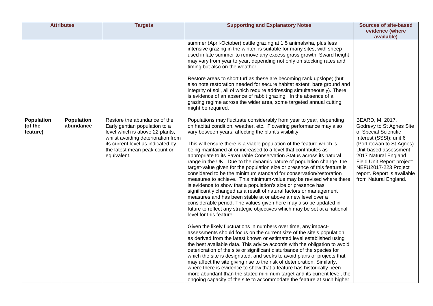| <b>Attributes</b>                        |                                | <b>Targets</b>                                                                                                                                                                                                              | <b>Supporting and Explanatory Notes</b>                                                                                                                                                                                                                                                                                                                                                                                                                                                                                                                                                                                                                                                                                                                                                                                                                                                                                                                                                                                                                                                                                                                                                                                                                                                                                                                                                                                                                                                                                                                                                                                                                                                                                                                                                                                                                                     | <b>Sources of site-based</b><br>evidence (where<br>available)                                                                                                                                                                                                                               |
|------------------------------------------|--------------------------------|-----------------------------------------------------------------------------------------------------------------------------------------------------------------------------------------------------------------------------|-----------------------------------------------------------------------------------------------------------------------------------------------------------------------------------------------------------------------------------------------------------------------------------------------------------------------------------------------------------------------------------------------------------------------------------------------------------------------------------------------------------------------------------------------------------------------------------------------------------------------------------------------------------------------------------------------------------------------------------------------------------------------------------------------------------------------------------------------------------------------------------------------------------------------------------------------------------------------------------------------------------------------------------------------------------------------------------------------------------------------------------------------------------------------------------------------------------------------------------------------------------------------------------------------------------------------------------------------------------------------------------------------------------------------------------------------------------------------------------------------------------------------------------------------------------------------------------------------------------------------------------------------------------------------------------------------------------------------------------------------------------------------------------------------------------------------------------------------------------------------------|---------------------------------------------------------------------------------------------------------------------------------------------------------------------------------------------------------------------------------------------------------------------------------------------|
|                                          |                                |                                                                                                                                                                                                                             | summer (April-October) cattle grazing at 1.5 animals/ha, plus less<br>intensive grazing in the winter, is suitable for many sites, with sheep<br>used in late summer to remove any excess grass growth. Sward height<br>may vary from year to year, depending not only on stocking rates and<br>timing but also on the weather.<br>Restore areas to short turf as these are becoming rank upslope; (but<br>also note restoration needed for secure habitat extent, bare ground and<br>integrity of soil, all of which require addressing simultaneously). There<br>is evidence of an absence of rabbit grazing. In the absence of a<br>grazing regime across the wider area, some targeted annual cutting<br>might be required.                                                                                                                                                                                                                                                                                                                                                                                                                                                                                                                                                                                                                                                                                                                                                                                                                                                                                                                                                                                                                                                                                                                                             |                                                                                                                                                                                                                                                                                             |
| <b>Population</b><br>(of the<br>feature) | <b>Population</b><br>abundance | Restore the abundance of the<br>Early gentian population to a<br>level which is above 22 plants,<br>whilst avoiding deterioration from<br>its current level as indicated by<br>the latest mean peak count or<br>equivalent. | Populations may fluctuate considerably from year to year, depending<br>on habitat condition, weather, etc. Flowering performance may also<br>vary between years, affecting the plant's visibility.<br>This will ensure there is a viable population of the feature which is<br>being maintained at or increased to a level that contributes as<br>appropriate to its Favourable Conservation Status across its natural<br>range in the UK. Due to the dynamic nature of population change, the<br>target-value given for the population size or presence of this feature is<br>considered to be the minimum standard for conservation/restoration<br>measures to achieve. This minimum-value may be revised where there<br>is evidence to show that a population's size or presence has<br>significantly changed as a result of natural factors or management<br>measures and has been stable at or above a new level over a<br>considerable period. The values given here may also be updated in<br>future to reflect any strategic objectives which may be set at a national<br>level for this feature.<br>Given the likely fluctuations in numbers over time, any impact-<br>assessments should focus on the current size of the site's population,<br>as derived from the latest known or estimated level established using<br>the best available data. This advice accords with the obligation to avoid<br>deterioration of the site or significant disturbance of the species for<br>which the site is designated, and seeks to avoid plans or projects that<br>may affect the site giving rise to the risk of deterioration. Similarly,<br>where there is evidence to show that a feature has historically been<br>more abundant than the stated minimum target and its current level, the<br>ongoing capacity of the site to accommodate the feature at such higher | BEARD, M. 2017.<br>Godrevy to St Agnes Site<br>of Special Scientific<br>Interest (SSSI): unit 6<br>(Porthtowan to St Agnes)<br>Unit-based assessment,<br>2017 Natural England<br>Field Unit Report project:<br>NEFU2017-223 Project<br>report. Report is available<br>from Natural England. |